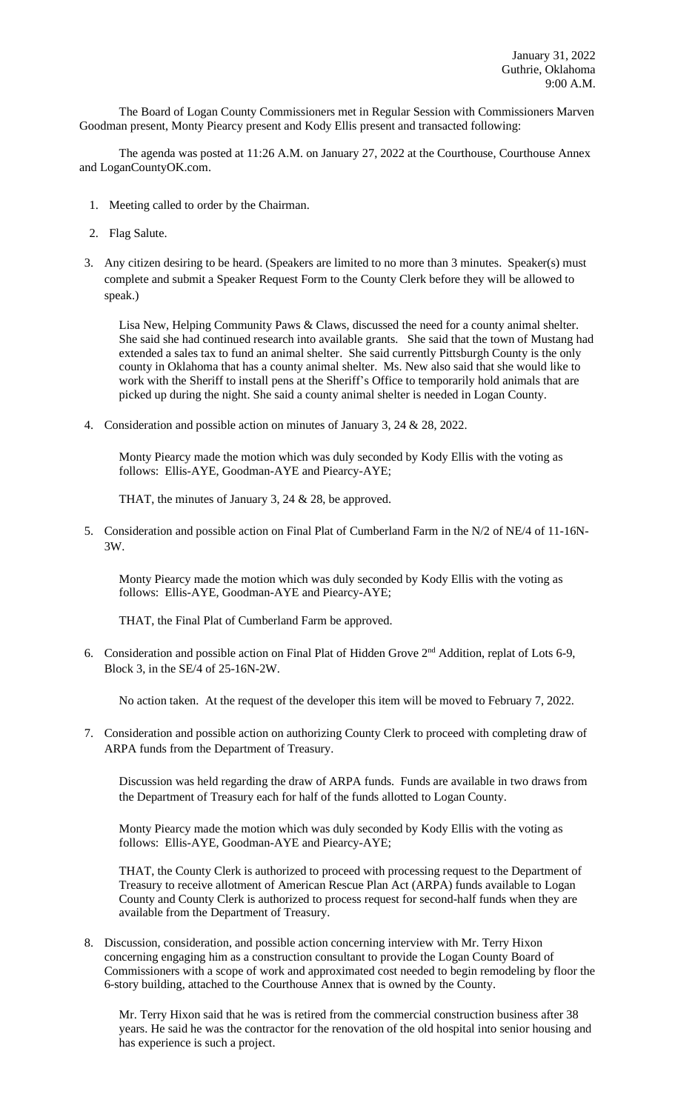The Board of Logan County Commissioners met in Regular Session with Commissioners Marven Goodman present, Monty Piearcy present and Kody Ellis present and transacted following:

The agenda was posted at 11:26 A.M. on January 27, 2022 at the Courthouse, Courthouse Annex and LoganCountyOK.com.

- 1. Meeting called to order by the Chairman.
- 2. Flag Salute.
- 3. Any citizen desiring to be heard. (Speakers are limited to no more than 3 minutes. Speaker(s) must complete and submit a Speaker Request Form to the County Clerk before they will be allowed to speak.)

Lisa New, Helping Community Paws & Claws, discussed the need for a county animal shelter. She said she had continued research into available grants. She said that the town of Mustang had extended a sales tax to fund an animal shelter. She said currently Pittsburgh County is the only county in Oklahoma that has a county animal shelter. Ms. New also said that she would like to work with the Sheriff to install pens at the Sheriff's Office to temporarily hold animals that are picked up during the night. She said a county animal shelter is needed in Logan County.

4. Consideration and possible action on minutes of January 3, 24 & 28, 2022.

Monty Piearcy made the motion which was duly seconded by Kody Ellis with the voting as follows: Ellis-AYE, Goodman-AYE and Piearcy-AYE;

THAT, the minutes of January 3, 24 & 28, be approved.

5. Consideration and possible action on Final Plat of Cumberland Farm in the N/2 of NE/4 of 11-16N-3W.

Monty Piearcy made the motion which was duly seconded by Kody Ellis with the voting as follows: Ellis-AYE, Goodman-AYE and Piearcy-AYE;

THAT, the Final Plat of Cumberland Farm be approved.

6. Consideration and possible action on Final Plat of Hidden Grove 2nd Addition, replat of Lots 6-9, Block 3, in the SE/4 of 25-16N-2W.

No action taken. At the request of the developer this item will be moved to February 7, 2022.

7. Consideration and possible action on authorizing County Clerk to proceed with completing draw of ARPA funds from the Department of Treasury.

Discussion was held regarding the draw of ARPA funds. Funds are available in two draws from the Department of Treasury each for half of the funds allotted to Logan County.

Monty Piearcy made the motion which was duly seconded by Kody Ellis with the voting as follows: Ellis-AYE, Goodman-AYE and Piearcy-AYE;

THAT, the County Clerk is authorized to proceed with processing request to the Department of Treasury to receive allotment of American Rescue Plan Act (ARPA) funds available to Logan County and County Clerk is authorized to process request for second-half funds when they are available from the Department of Treasury.

8. Discussion, consideration, and possible action concerning interview with Mr. Terry Hixon concerning engaging him as a construction consultant to provide the Logan County Board of Commissioners with a scope of work and approximated cost needed to begin remodeling by floor the 6-story building, attached to the Courthouse Annex that is owned by the County.

Mr. Terry Hixon said that he was is retired from the commercial construction business after 38 years. He said he was the contractor for the renovation of the old hospital into senior housing and has experience is such a project.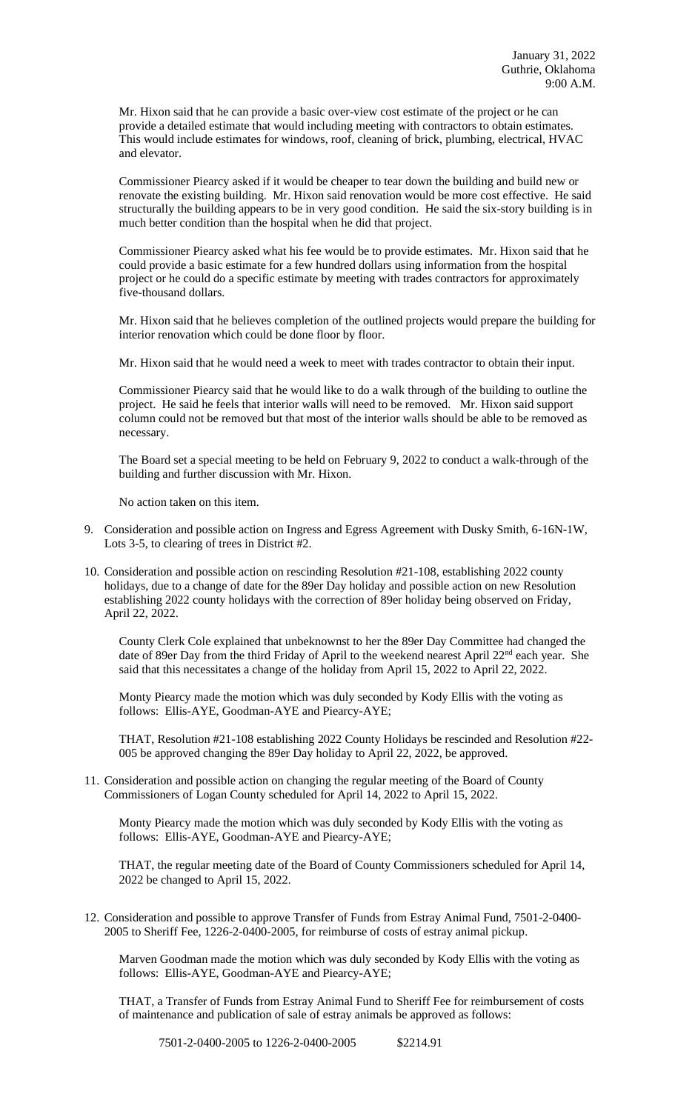Mr. Hixon said that he can provide a basic over-view cost estimate of the project or he can provide a detailed estimate that would including meeting with contractors to obtain estimates. This would include estimates for windows, roof, cleaning of brick, plumbing, electrical, HVAC and elevator.

Commissioner Piearcy asked if it would be cheaper to tear down the building and build new or renovate the existing building. Mr. Hixon said renovation would be more cost effective. He said structurally the building appears to be in very good condition. He said the six-story building is in much better condition than the hospital when he did that project.

Commissioner Piearcy asked what his fee would be to provide estimates. Mr. Hixon said that he could provide a basic estimate for a few hundred dollars using information from the hospital project or he could do a specific estimate by meeting with trades contractors for approximately five-thousand dollars.

Mr. Hixon said that he believes completion of the outlined projects would prepare the building for interior renovation which could be done floor by floor.

Mr. Hixon said that he would need a week to meet with trades contractor to obtain their input.

Commissioner Piearcy said that he would like to do a walk through of the building to outline the project. He said he feels that interior walls will need to be removed. Mr. Hixon said support column could not be removed but that most of the interior walls should be able to be removed as necessary.

The Board set a special meeting to be held on February 9, 2022 to conduct a walk-through of the building and further discussion with Mr. Hixon.

No action taken on this item.

- 9. Consideration and possible action on Ingress and Egress Agreement with Dusky Smith, 6-16N-1W, Lots 3-5, to clearing of trees in District #2.
- 10. Consideration and possible action on rescinding Resolution #21-108, establishing 2022 county holidays, due to a change of date for the 89er Day holiday and possible action on new Resolution establishing 2022 county holidays with the correction of 89er holiday being observed on Friday, April 22, 2022.

County Clerk Cole explained that unbeknownst to her the 89er Day Committee had changed the date of 89er Day from the third Friday of April to the weekend nearest April  $22<sup>nd</sup>$  each year. She said that this necessitates a change of the holiday from April 15, 2022 to April 22, 2022.

Monty Piearcy made the motion which was duly seconded by Kody Ellis with the voting as follows: Ellis-AYE, Goodman-AYE and Piearcy-AYE;

THAT, Resolution #21-108 establishing 2022 County Holidays be rescinded and Resolution #22- 005 be approved changing the 89er Day holiday to April 22, 2022, be approved.

11. Consideration and possible action on changing the regular meeting of the Board of County Commissioners of Logan County scheduled for April 14, 2022 to April 15, 2022.

Monty Piearcy made the motion which was duly seconded by Kody Ellis with the voting as follows: Ellis-AYE, Goodman-AYE and Piearcy-AYE;

THAT, the regular meeting date of the Board of County Commissioners scheduled for April 14, 2022 be changed to April 15, 2022.

12. Consideration and possible to approve Transfer of Funds from Estray Animal Fund, 7501-2-0400- 2005 to Sheriff Fee, 1226-2-0400-2005, for reimburse of costs of estray animal pickup.

Marven Goodman made the motion which was duly seconded by Kody Ellis with the voting as follows: Ellis-AYE, Goodman-AYE and Piearcy-AYE;

THAT, a Transfer of Funds from Estray Animal Fund to Sheriff Fee for reimbursement of costs of maintenance and publication of sale of estray animals be approved as follows: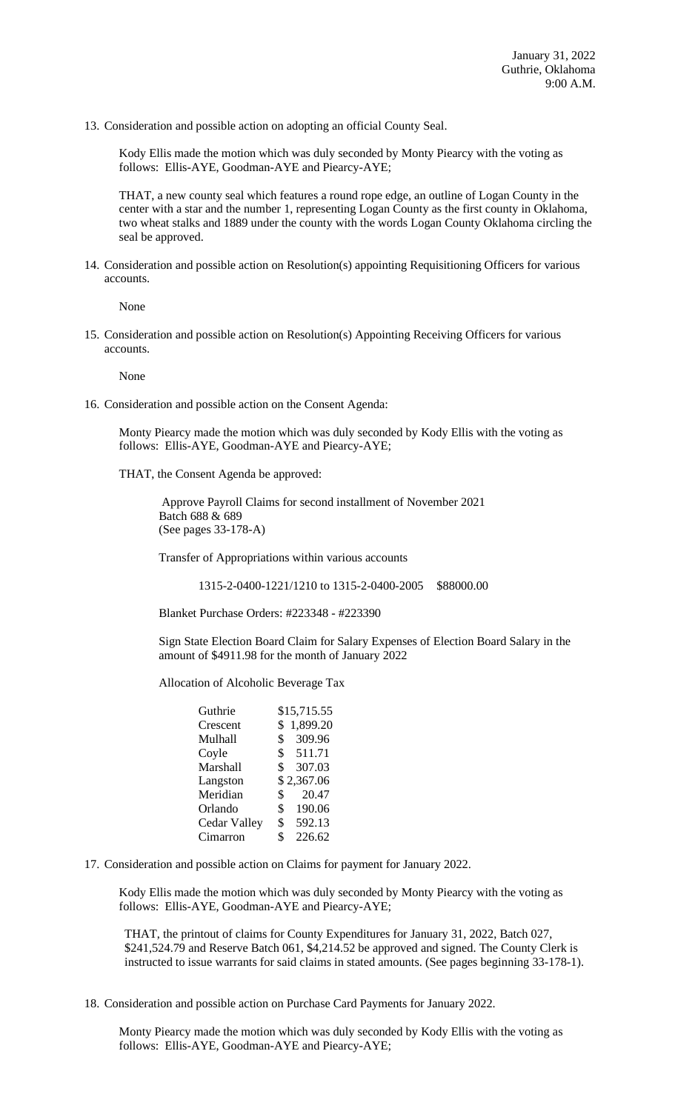13. Consideration and possible action on adopting an official County Seal.

Kody Ellis made the motion which was duly seconded by Monty Piearcy with the voting as follows: Ellis-AYE, Goodman-AYE and Piearcy-AYE;

THAT, a new county seal which features a round rope edge, an outline of Logan County in the center with a star and the number 1, representing Logan County as the first county in Oklahoma, two wheat stalks and 1889 under the county with the words Logan County Oklahoma circling the seal be approved.

14. Consideration and possible action on Resolution(s) appointing Requisitioning Officers for various accounts.

None

15. Consideration and possible action on Resolution(s) Appointing Receiving Officers for various accounts.

None

16. Consideration and possible action on the Consent Agenda:

Monty Piearcy made the motion which was duly seconded by Kody Ellis with the voting as follows: Ellis-AYE, Goodman-AYE and Piearcy-AYE;

THAT, the Consent Agenda be approved:

 Approve Payroll Claims for second installment of November 2021 Batch 688 & 689 (See pages 33-178-A)

Transfer of Appropriations within various accounts

1315-2-0400-1221/1210 to 1315-2-0400-2005 \$88000.00

Blanket Purchase Orders: #223348 - #223390

Sign State Election Board Claim for Salary Expenses of Election Board Salary in the amount of \$4911.98 for the month of January 2022

Allocation of Alcoholic Beverage Tax

| Guthrie             | \$15,715.55              |
|---------------------|--------------------------|
| Crescent            | 1,899.20<br>\$           |
| Mulhall             | 309.96<br>$\mathbb{S}^-$ |
| Coyle               | \$511.71                 |
| Marshall            | 307.03<br>$\mathbb{S}^-$ |
| Langston            | \$2,367.06               |
| Meridian            | 20.47<br>\$              |
| Orlando             | \$<br>190.06             |
| <b>Cedar Valley</b> | 592.13<br>\$             |
| Cimarron            | \$<br>226.62             |

17. Consideration and possible action on Claims for payment for January 2022.

Kody Ellis made the motion which was duly seconded by Monty Piearcy with the voting as follows: Ellis-AYE, Goodman-AYE and Piearcy-AYE;

THAT, the printout of claims for County Expenditures for January 31, 2022, Batch 027, \$241,524.79 and Reserve Batch 061, \$4,214.52 be approved and signed. The County Clerk is instructed to issue warrants for said claims in stated amounts. (See pages beginning 33-178-1).

18. Consideration and possible action on Purchase Card Payments for January 2022.

Monty Piearcy made the motion which was duly seconded by Kody Ellis with the voting as follows: Ellis-AYE, Goodman-AYE and Piearcy-AYE;